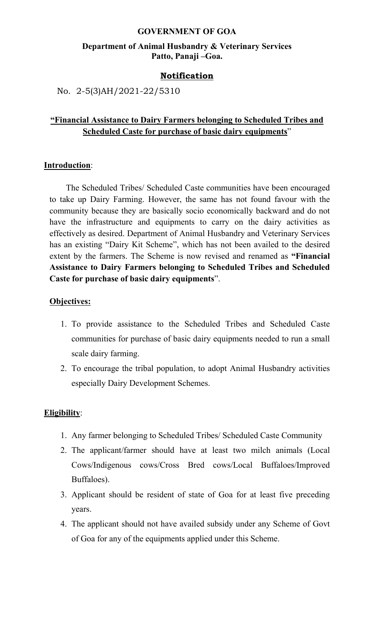#### **GOVERNMENT OF GOA**

## **Department of Animal Husbandry & Veterinary Services Patto, Panaji –Goa.**

#### **Notification**

No. 2-5(3)AH/2021-22/5310

# **"Financial Assistance to Dairy Farmers belonging to Scheduled Tribes and Scheduled Caste for purchase of basic dairy equipments**"

### **Introduction**:

The Scheduled Tribes/ Scheduled Caste communities have been encouraged to take up Dairy Farming. However, the same has not found favour with the community because they are basically socio economically backward and do not have the infrastructure and equipments to carry on the dairy activities as effectively as desired. Department of Animal Husbandry and Veterinary Services has an existing "Dairy Kit Scheme", which has not been availed to the desired extent by the farmers. The Scheme is now revised and renamed as **"Financial Assistance to Dairy Farmers belonging to Scheduled Tribesand Scheduled Caste for purchase of basic dairy equipments**".

#### **Objectives:**

- 1. To provide assistance to the Scheduled Tribes and Scheduled Caste communities for purchase of basic dairy equipments needed to run a small scale dairy farming.
- 2. To encourage the tribal population, to adopt Animal Husbandry activities especially Dairy Development Schemes.

#### **Eligibility**:

- 1. Any farmer belonging to Scheduled Tribes/ Scheduled Caste Community
- 2. The applicant/farmer should have at least two milch animals (Local Cows/Indigenous cows/Cross Bred cows/Local Buffaloes/Improved Buffaloes).
- 3. Applicant should be resident of state of Goa for at least five preceding years.
- 4. The applicant should not have availed subsidy under any Scheme of Govt of Goa for any of the equipments applied under this Scheme.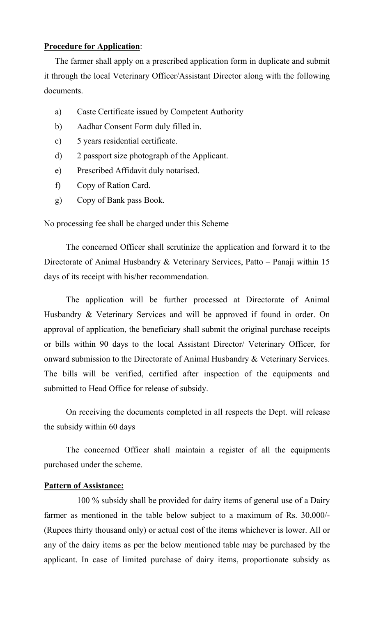# **Procedure for Application**:

The farmer shall apply on a prescribed application form in duplicate and submit it through the local Veterinary Officer/Assistant Director along with the following documents.

- a) Caste Certificate issued by Competent Authority
- b) Aadhar Consent Form duly filled in.
- c) 5 years residential certificate.
- d) 2 passport size photograph of the Applicant.
- e) Prescribed Affidavit duly notarised.
- f) Copy of Ration Card.
- 

g) Copy of Bank pass Book.<br>No processing fee shall be charged under this Scheme

The concerned Officer shall scrutinize the application and forward it to the Directorate of Animal Husbandry & Veterinary Services, Patto – Panaji within 15 days of its receipt with his/her recommendation.

The application will be further processed at Directorate of Animal Husbandry & Veterinary Services and will be approved if found in order. On approval of application, the beneficiary shall submit the original purchase receipts or bills within 90 days to the local Assistant Director/ Veterinary Officer, for onward submission to the Directorate of Animal Husbandry & Veterinary Services. The bills will be verified, certified after inspection of the equipments and submitted to Head Office for release of subsidy.

On receiving the documents completed in all respects the Dept. will release the subsidy within 60 days

The concerned Officer shall maintain a register of all the equipments purchased under the scheme.

## **Pattern of Assistance:**

100 % subsidy shall be provided for dairy items of general use of a Dairy farmer as mentioned in the table below subject to a maximum of Rs. 30,000/- (Rupees thirty thousand only) or actual cost of the items whichever is lower. All or any of the dairy items as per the below mentioned table may be purchased by the applicant. In case of limited purchase of dairy items, proportionate subsidy as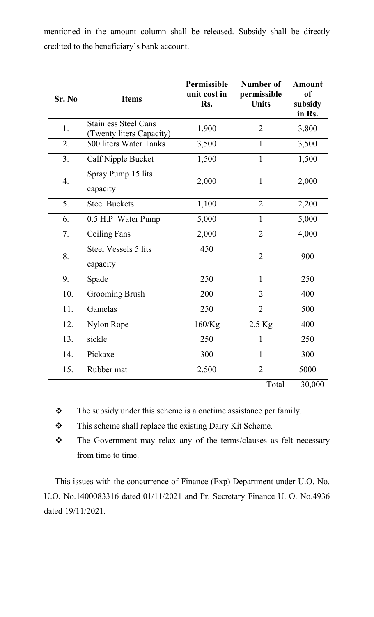mentioned in the amount column shall be released. Subsidy shall be directly credited to the beneficiary's bank account.

| Sr. No | <b>Items</b>                                            | Permissible<br>unit cost in<br>Rs. | <b>Number of</b><br>permissible<br><b>Units</b> | <b>Amount</b><br><sub>of</sub><br>subsidy<br>in Rs. |
|--------|---------------------------------------------------------|------------------------------------|-------------------------------------------------|-----------------------------------------------------|
| 1.     | <b>Stainless Steel Cans</b><br>(Twenty liters Capacity) | 1,900                              | $\overline{2}$                                  | 3,800                                               |
| 2.     | 500 liters Water Tanks                                  | 3,500                              | $\mathbf{1}$                                    | 3,500                                               |
| 3.     | Calf Nipple Bucket                                      | 1,500                              | $\mathbf{1}$                                    | 1,500                                               |
| 4.     | Spray Pump 15 lits<br>capacity                          | 2,000                              | $\mathbf{1}$                                    | 2,000                                               |
| 5.     | <b>Steel Buckets</b>                                    | 1,100                              | $\overline{2}$                                  | 2,200                                               |
| 6.     | 0.5 H.P Water Pump                                      | 5,000                              | $\mathbf{1}$                                    | 5,000                                               |
| 7.     | <b>Ceiling Fans</b>                                     | 2,000                              | $\overline{2}$                                  | 4,000                                               |
| 8.     | Steel Vessels 5 lits<br>capacity                        | 450                                | $\overline{2}$                                  | 900                                                 |
| 9.     | Spade                                                   | 250                                | $\mathbf{1}$                                    | 250                                                 |
| 10.    | <b>Grooming Brush</b>                                   | 200                                | $\overline{2}$                                  | 400                                                 |
| 11.    | Gamelas                                                 | 250                                | $\overline{2}$                                  | 500                                                 |
| 12.    | Nylon Rope                                              | $160$ /Kg                          | 2.5 Kg                                          | 400                                                 |
| 13.    | sickle                                                  | 250                                | $\mathbf{1}$                                    | 250                                                 |
| 14.    | Pickaxe                                                 | 300                                | $\mathbf{1}$                                    | 300                                                 |
| 15.    | Rubber mat                                              | 2,500                              | $\overline{2}$                                  | 5000                                                |
|        |                                                         |                                    | Total                                           | 30,000                                              |

- \* The subsidy under this scheme is a onetime assistance per family.
- \* This scheme shall replace the existing Dairy Kit Scheme.
- \* The Government may relax any of the terms/clauses as felt necessary from time to time.

This issues with the concurrence of Finance (Exp) Department under U.O. No. U.O. No.1400083316 dated 01/11/2021 and Pr. Secretary Finance U.O. No.4936 dated 19/11/2021.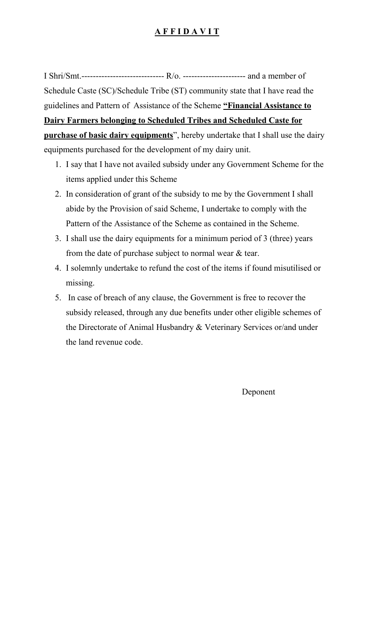# **A F F I D A V IT**

I Shri/Smt.--------------------------------- R/o. -------------------------- and a member of Schedule Caste (SC)/Schedule Tribe (ST) community state that I have read the guidelines and Pattern of Assistance of the Scheme **"Financial Assistance to Dairy Farmers belonging to Scheduled Tribes and Scheduled Caste for purchase of basic dairy equipments**", hereby undertake that I shall use the dairy equipments purchased for the development of my dairy unit.

- 1. I say that I have not availed subsidy under any Government Scheme for the items applied under this Scheme
- 2. In consideration of grant of the subsidy to me by the Government I shall abide by the Provision of said Scheme, I undertake to comply with the Pattern of the Assistance of the Scheme as contained in the Scheme.
- 3. I shall use the dairy equipments for a minimum period of 3 (three) years from the date of purchase subject to normal wear & tear.
- 4. I solemnly undertake to refund the cost of the items if found misutilised or missing.
- 5. In case of breach of any clause, the Government is free to recover the subsidy released, through any due benefits under other eligible schemes of the Directorate of Animal Husbandry & Veterinary Services or/and under the land revenue code.

Deponent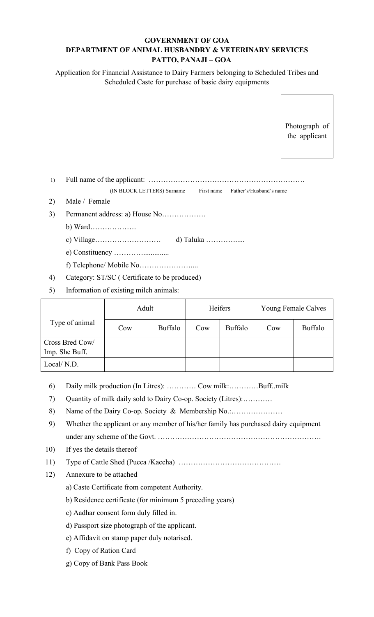#### **GOVERNMENT OF GOA DEPARTMENT OF ANIMAL HUSBANDRY & VETERINARY SERVICES PATTO, PANAJI – GOA**

Application for Financial Assistance to Dairy Farmers belonging to Scheduled Tribes and Scheduled Caste for purchase of basic dairy equipments

> Photograph of the applicant

1) Full name of the applicant: ……………………………………………………….

(IN BLOCK LETTERS) Surname First name Father's/Husband's name

- 2) Male / Female
- 3) Permanent address: a) House No………………

b) Ward……………….

c) Village……………………… d) Taluka ………….....

e) Constituency …………..............

f) Telephone/ Mobile No…………………....

- 4) Category: ST/SC ( Certificate to be produced)
- 5) Information of existing milch animals:

|                 | Adult |         | Heifers |         | Young Female Calves |         |
|-----------------|-------|---------|---------|---------|---------------------|---------|
| Type of animal  | Cow   | Buffalo | Cow     | Buffalo | Cow                 | Buffalo |
| Cross Bred Cow/ |       |         |         |         |                     |         |
| Imp. She Buff.  |       |         |         |         |                     |         |
| Local/N.D.      |       |         |         |         |                     |         |

- 6) Daily milk production (In Litres): ………… Cow milk:…………Buff..milk
- 7) Quantity of milk daily sold to Dairy Co-op. Society (Litres):…………
- 8) Name of the Dairy Co-op. Society & Membership No.:...........................
- 9) Whether the applicant or any member of his/her family has purchased dairy equipment under any scheme of the Govt. ………………………………………………………….
- 10) If yes the details thereof
- 11) Type of Cattle Shed (Pucca /Kaccha) ……………………………………
- 12) Annexure to be attached
	- a) Caste Certificate from competent Authority.
	- b) Residence certificate (for minimum 5 preceding years)
	- c) Aadhar consent form duly filled in.
	- d) Passport size photograph of the applicant.
	- e) Affidavit on stamp paper duly notarised.
	- f) Copy of Ration Card
	- g) Copy of Bank Pass Book